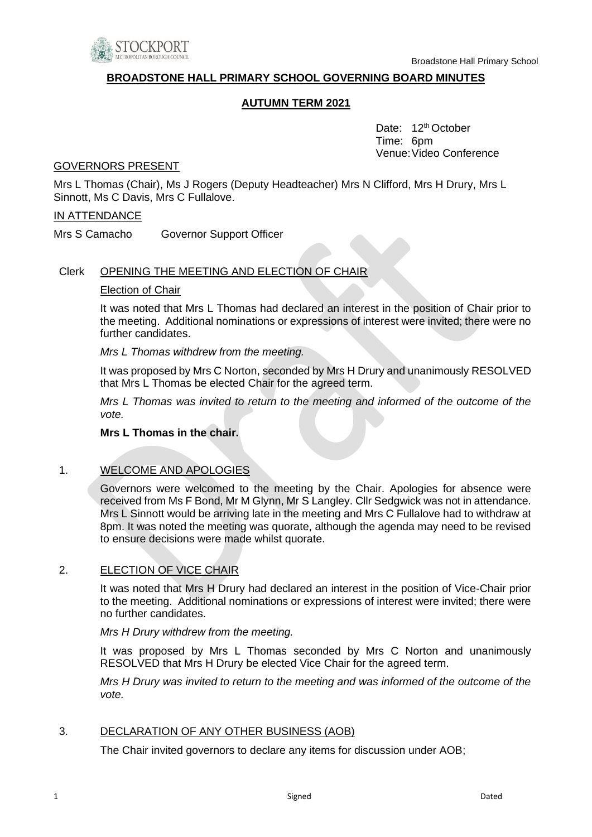

#### **BROADSTONE HALL PRIMARY SCHOOL GOVERNING BOARD MINUTES**

#### **AUTUMN TERM 2021**

Date: 12<sup>th</sup> October Time: 6pm Venue:Video Conference

#### GOVERNORS PRESENT

Mrs L Thomas (Chair), Ms J Rogers (Deputy Headteacher) Mrs N Clifford, Mrs H Drury, Mrs L Sinnott, Ms C Davis, Mrs C Fullalove.

#### IN ATTENDANCE

Mrs S Camacho Governor Support Officer

#### Clerk OPENING THE MEETING AND ELECTION OF CHAIR

#### Election of Chair

It was noted that Mrs L Thomas had declared an interest in the position of Chair prior to the meeting. Additional nominations or expressions of interest were invited; there were no further candidates.

#### *Mrs L Thomas withdrew from the meeting.*

It was proposed by Mrs C Norton, seconded by Mrs H Drury and unanimously RESOLVED that Mrs L Thomas be elected Chair for the agreed term.

*Mrs L Thomas was invited to return to the meeting and informed of the outcome of the vote.* 

#### **Mrs L Thomas in the chair.**

#### 1. WELCOME AND APOLOGIES

Governors were welcomed to the meeting by the Chair. Apologies for absence were received from Ms F Bond, Mr M Glynn, Mr S Langley. Cllr Sedgwick was not in attendance. Mrs L Sinnott would be arriving late in the meeting and Mrs C Fullalove had to withdraw at 8pm. It was noted the meeting was quorate, although the agenda may need to be revised to ensure decisions were made whilst quorate.

#### 2. ELECTION OF VICE CHAIR

It was noted that Mrs H Drury had declared an interest in the position of Vice-Chair prior to the meeting. Additional nominations or expressions of interest were invited; there were no further candidates.

#### *Mrs H Drury withdrew from the meeting.*

It was proposed by Mrs L Thomas seconded by Mrs C Norton and unanimously RESOLVED that Mrs H Drury be elected Vice Chair for the agreed term.

*Mrs H Drury was invited to return to the meeting and was informed of the outcome of the vote.* 

#### 3. DECLARATION OF ANY OTHER BUSINESS (AOB)

The Chair invited governors to declare any items for discussion under AOB;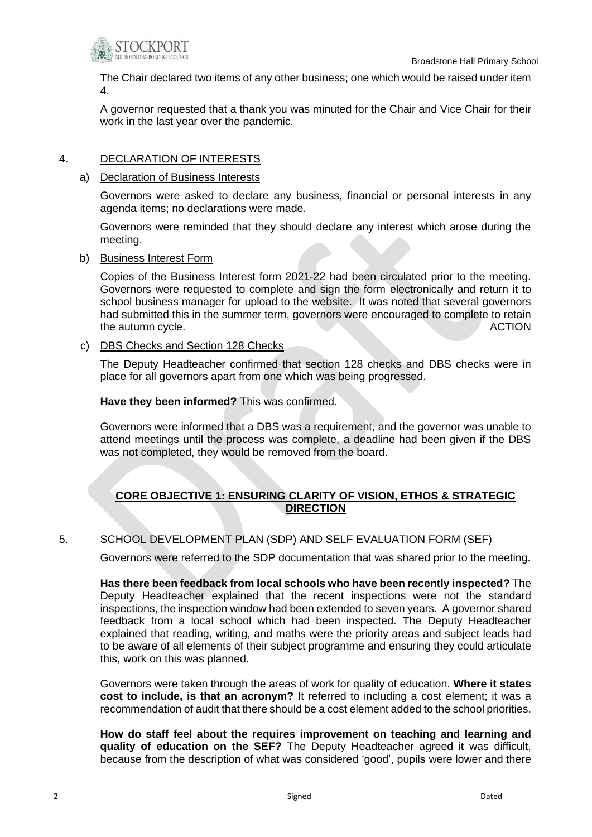

The Chair declared two items of any other business; one which would be raised under item 4.

A governor requested that a thank you was minuted for the Chair and Vice Chair for their work in the last year over the pandemic.

### 4. DECLARATION OF INTERESTS

a) Declaration of Business Interests

Governors were asked to declare any business, financial or personal interests in any agenda items; no declarations were made.

Governors were reminded that they should declare any interest which arose during the meeting.

b) Business Interest Form

Copies of the Business Interest form 2021-22 had been circulated prior to the meeting. Governors were requested to complete and sign the form electronically and return it to school business manager for upload to the website. It was noted that several governors had submitted this in the summer term, governors were encouraged to complete to retain the autumn cycle. ACTION

c) DBS Checks and Section 128 Checks

The Deputy Headteacher confirmed that section 128 checks and DBS checks were in place for all governors apart from one which was being progressed.

**Have they been informed?** This was confirmed.

Governors were informed that a DBS was a requirement, and the governor was unable to attend meetings until the process was complete, a deadline had been given if the DBS was not completed, they would be removed from the board.

## **CORE OBJECTIVE 1: ENSURING CLARITY OF VISION, ETHOS & STRATEGIC DIRECTION**

### 5. SCHOOL DEVELOPMENT PLAN (SDP) AND SELF EVALUATION FORM (SEF)

Governors were referred to the SDP documentation that was shared prior to the meeting.

**Has there been feedback from local schools who have been recently inspected?** The Deputy Headteacher explained that the recent inspections were not the standard inspections, the inspection window had been extended to seven years. A governor shared feedback from a local school which had been inspected. The Deputy Headteacher explained that reading, writing, and maths were the priority areas and subject leads had to be aware of all elements of their subject programme and ensuring they could articulate this, work on this was planned.

Governors were taken through the areas of work for quality of education. **Where it states cost to include, is that an acronym?** It referred to including a cost element; it was a recommendation of audit that there should be a cost element added to the school priorities.

**How do staff feel about the requires improvement on teaching and learning and quality of education on the SEF?** The Deputy Headteacher agreed it was difficult, because from the description of what was considered 'good', pupils were lower and there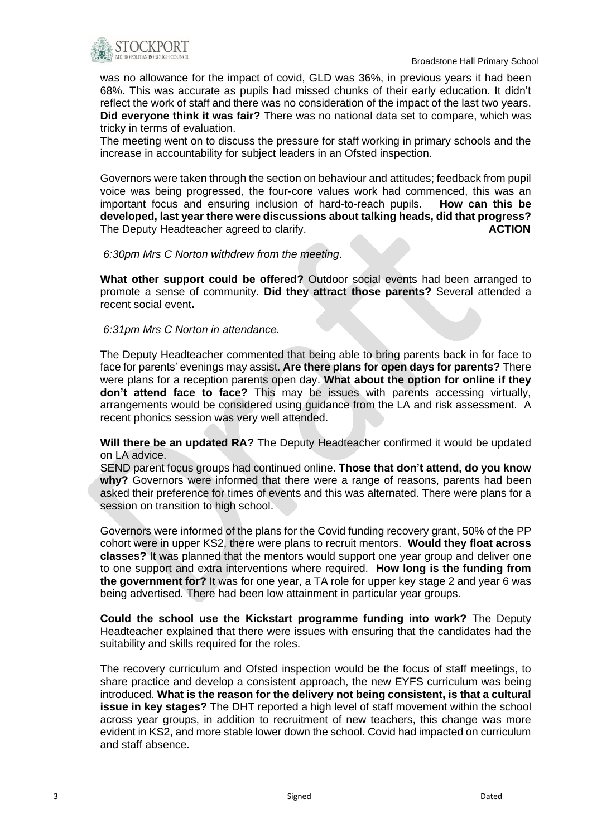

was no allowance for the impact of covid, GLD was 36%, in previous years it had been 68%. This was accurate as pupils had missed chunks of their early education. It didn't reflect the work of staff and there was no consideration of the impact of the last two years. **Did everyone think it was fair?** There was no national data set to compare, which was tricky in terms of evaluation.

The meeting went on to discuss the pressure for staff working in primary schools and the increase in accountability for subject leaders in an Ofsted inspection.

Governors were taken through the section on behaviour and attitudes; feedback from pupil voice was being progressed, the four-core values work had commenced, this was an important focus and ensuring inclusion of hard-to-reach pupils. **How can this be developed, last year there were discussions about talking heads, did that progress?** The Deputy Headteacher agreed to clarify. **ACTION**

#### *6:30pm Mrs C Norton withdrew from the meeting*.

**What other support could be offered?** Outdoor social events had been arranged to promote a sense of community. **Did they attract those parents?** Several attended a recent social event**.** 

#### *6:31pm Mrs C Norton in attendance.*

The Deputy Headteacher commented that being able to bring parents back in for face to face for parents' evenings may assist. **Are there plans for open days for parents?** There were plans for a reception parents open day. **What about the option for online if they don't attend face to face?** This may be issues with parents accessing virtually, arrangements would be considered using guidance from the LA and risk assessment. A recent phonics session was very well attended.

**Will there be an updated RA?** The Deputy Headteacher confirmed it would be updated on LA advice.

SEND parent focus groups had continued online. **Those that don't attend, do you know why?** Governors were informed that there were a range of reasons, parents had been asked their preference for times of events and this was alternated. There were plans for a session on transition to high school.

Governors were informed of the plans for the Covid funding recovery grant, 50% of the PP cohort were in upper KS2, there were plans to recruit mentors. **Would they float across classes?** It was planned that the mentors would support one year group and deliver one to one support and extra interventions where required. **How long is the funding from the government for?** It was for one year, a TA role for upper key stage 2 and year 6 was being advertised. There had been low attainment in particular year groups.

**Could the school use the Kickstart programme funding into work?** The Deputy Headteacher explained that there were issues with ensuring that the candidates had the suitability and skills required for the roles.

The recovery curriculum and Ofsted inspection would be the focus of staff meetings, to share practice and develop a consistent approach, the new EYFS curriculum was being introduced. **What is the reason for the delivery not being consistent, is that a cultural issue in key stages?** The DHT reported a high level of staff movement within the school across year groups, in addition to recruitment of new teachers, this change was more evident in KS2, and more stable lower down the school. Covid had impacted on curriculum and staff absence.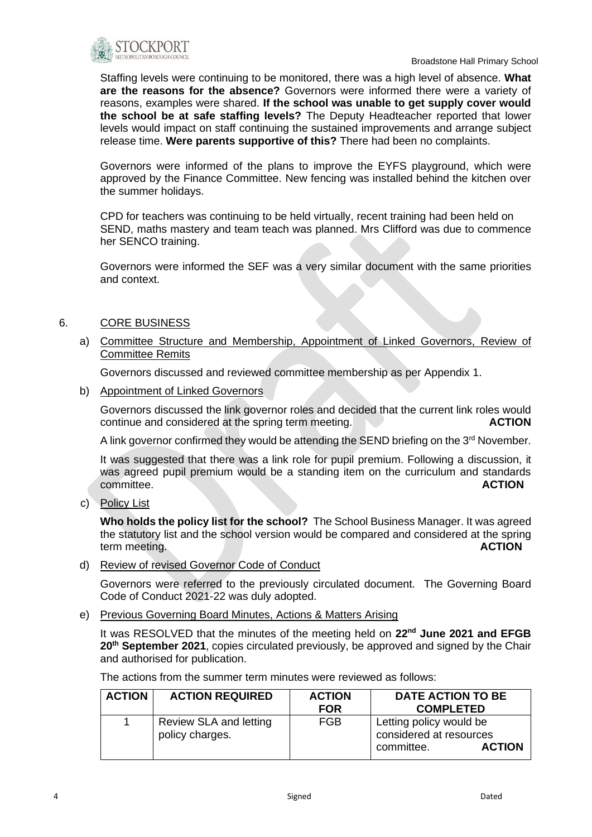

Staffing levels were continuing to be monitored, there was a high level of absence. **What are the reasons for the absence?** Governors were informed there were a variety of reasons, examples were shared. **If the school was unable to get supply cover would the school be at safe staffing levels?** The Deputy Headteacher reported that lower levels would impact on staff continuing the sustained improvements and arrange subject release time. **Were parents supportive of this?** There had been no complaints.

Governors were informed of the plans to improve the EYFS playground, which were approved by the Finance Committee. New fencing was installed behind the kitchen over the summer holidays.

CPD for teachers was continuing to be held virtually, recent training had been held on SEND, maths mastery and team teach was planned. Mrs Clifford was due to commence her SENCO training.

Governors were informed the SEF was a very similar document with the same priorities and context.

### 6. CORE BUSINESS

a) Committee Structure and Membership, Appointment of Linked Governors, Review of Committee Remits

Governors discussed and reviewed committee membership as per Appendix 1.

b) Appointment of Linked Governors

Governors discussed the link governor roles and decided that the current link roles would continue and considered at the spring term meeting. **ACTION**

A link governor confirmed they would be attending the SEND briefing on the 3<sup>rd</sup> November.

It was suggested that there was a link role for pupil premium. Following a discussion, it was agreed pupil premium would be a standing item on the curriculum and standards committee. **ACTION**

c) Policy List

**Who holds the policy list for the school?** The School Business Manager. It was agreed the statutory list and the school version would be compared and considered at the spring term meeting. **ACTION**

d) Review of revised Governor Code of Conduct

Governors were referred to the previously circulated document. The Governing Board Code of Conduct 2021-22 was duly adopted.

e) Previous Governing Board Minutes, Actions & Matters Arising

It was RESOLVED that the minutes of the meeting held on **22nd June 2021 and EFGB 20th September 2021**, copies circulated previously, be approved and signed by the Chair and authorised for publication.

The actions from the summer term minutes were reviewed as follows:

| <b>ACTION</b> | <b>ACTION REQUIRED</b>                    | <b>ACTION</b> | <b>DATE ACTION TO BE</b>                                                          |
|---------------|-------------------------------------------|---------------|-----------------------------------------------------------------------------------|
|               |                                           | <b>FOR</b>    | <b>COMPLETED</b>                                                                  |
|               | Review SLA and letting<br>policy charges. | FGB           | Letting policy would be<br>considered at resources<br><b>ACTION</b><br>committee. |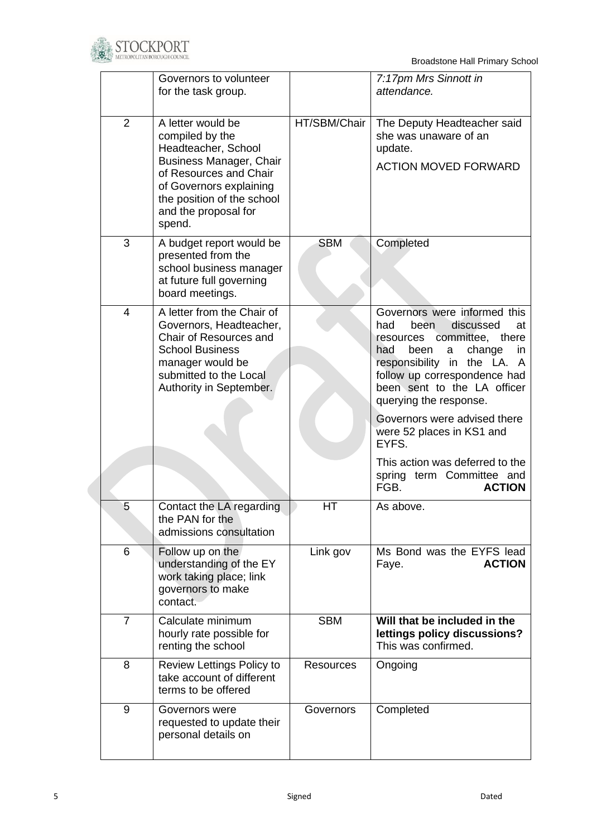

Broadstone Hall Primary School

|                | Governors to volunteer<br>for the task group.                                                                                                                                                               |                  | 7:17pm Mrs Sinnott in<br>attendance.                                                                                                                                                                                                                                                                                                                                 |
|----------------|-------------------------------------------------------------------------------------------------------------------------------------------------------------------------------------------------------------|------------------|----------------------------------------------------------------------------------------------------------------------------------------------------------------------------------------------------------------------------------------------------------------------------------------------------------------------------------------------------------------------|
| $\overline{2}$ | A letter would be<br>compiled by the<br>Headteacher, School<br>Business Manager, Chair<br>of Resources and Chair<br>of Governors explaining<br>the position of the school<br>and the proposal for<br>spend. | HT/SBM/Chair     | The Deputy Headteacher said<br>she was unaware of an<br>update.<br><b>ACTION MOVED FORWARD</b>                                                                                                                                                                                                                                                                       |
| 3              | A budget report would be<br>presented from the<br>school business manager<br>at future full governing<br>board meetings.                                                                                    | <b>SBM</b>       | Completed                                                                                                                                                                                                                                                                                                                                                            |
| $\overline{4}$ | A letter from the Chair of<br>Governors, Headteacher,<br>Chair of Resources and<br><b>School Business</b><br>manager would be<br>submitted to the Local<br>Authority in September.                          |                  | Governors were informed this<br>had<br>been<br>discussed<br>at<br>resources committee,<br>there<br>change<br>had<br>been<br>in<br>a<br>responsibility in the LA. A<br>follow up correspondence had<br>been sent to the LA officer<br>querying the response.<br>Governors were advised there<br>were 52 places in KS1 and<br>EYFS.<br>This action was deferred to the |
|                |                                                                                                                                                                                                             |                  | spring term Committee and<br>FGB.<br><b>ACTION</b>                                                                                                                                                                                                                                                                                                                   |
| 5              | Contact the LA regarding<br>the PAN for the<br>admissions consultation                                                                                                                                      | HT               | As above.                                                                                                                                                                                                                                                                                                                                                            |
| 6              | Follow up on the<br>understanding of the EY<br>work taking place; link<br>governors to make<br>contact.                                                                                                     | Link gov         | Ms Bond was the EYFS lead<br><b>ACTION</b><br>Faye.                                                                                                                                                                                                                                                                                                                  |
| $\overline{7}$ | Calculate minimum<br>hourly rate possible for<br>renting the school                                                                                                                                         | <b>SBM</b>       | Will that be included in the<br>lettings policy discussions?<br>This was confirmed.                                                                                                                                                                                                                                                                                  |
| 8              | Review Lettings Policy to<br>take account of different<br>terms to be offered                                                                                                                               | <b>Resources</b> | Ongoing                                                                                                                                                                                                                                                                                                                                                              |
| 9              | Governors were<br>requested to update their<br>personal details on                                                                                                                                          | Governors        | Completed                                                                                                                                                                                                                                                                                                                                                            |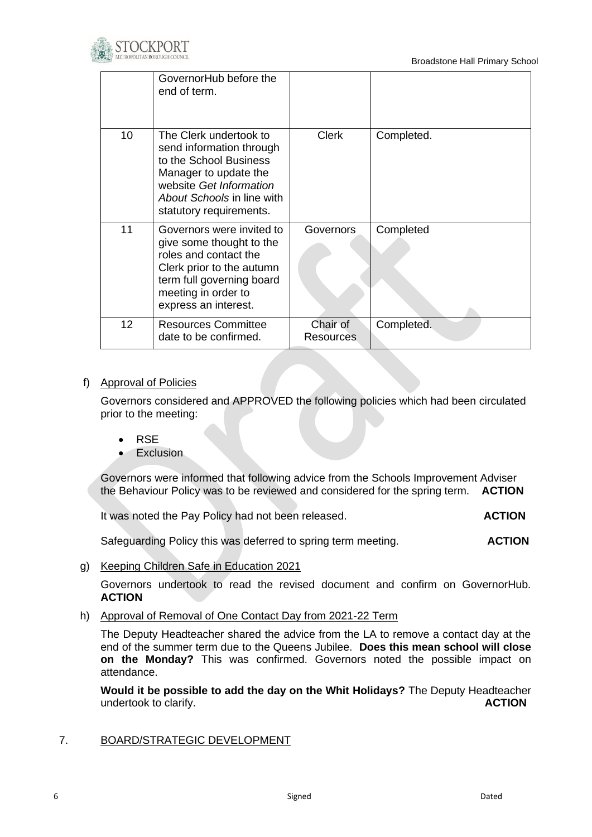

|                   | GovernorHub before the<br>end of term.                                                                                                                                                    |                       |            |
|-------------------|-------------------------------------------------------------------------------------------------------------------------------------------------------------------------------------------|-----------------------|------------|
| 10                | The Clerk undertook to<br>send information through<br>to the School Business<br>Manager to update the<br>website Get Information<br>About Schools in line with<br>statutory requirements. | <b>Clerk</b>          | Completed. |
| 11                | Governors were invited to<br>give some thought to the<br>roles and contact the<br>Clerk prior to the autumn<br>term full governing board<br>meeting in order to<br>express an interest.   | Governors             | Completed  |
| $12 \overline{ }$ | <b>Resources Committee</b><br>date to be confirmed.                                                                                                                                       | Chair of<br>Resources | Completed. |

### f) Approval of Policies

Governors considered and APPROVED the following policies which had been circulated prior to the meeting:

- RSE
- Exclusion

Governors were informed that following advice from the Schools Improvement Adviser the Behaviour Policy was to be reviewed and considered for the spring term. **ACTION** 

It was noted the Pay Policy had not been released. **ACTION** 

Safeguarding Policy this was deferred to spring term meeting.**ACTION**

g) Keeping Children Safe in Education 2021

Governors undertook to read the revised document and confirm on GovernorHub. **ACTION**

h) Approval of Removal of One Contact Day from 2021-22 Term

The Deputy Headteacher shared the advice from the LA to remove a contact day at the end of the summer term due to the Queens Jubilee. **Does this mean school will close on the Monday?** This was confirmed. Governors noted the possible impact on attendance.

**Would it be possible to add the day on the Whit Holidays?** The Deputy Headteacher undertook to clarify. **ACTION**

7. BOARD/STRATEGIC DEVELOPMENT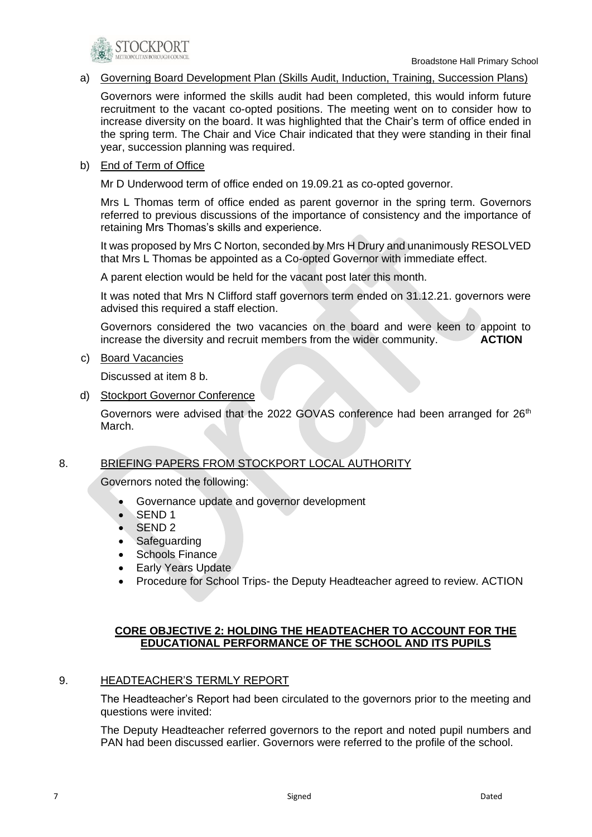

#### a) Governing Board Development Plan (Skills Audit, Induction, Training, Succession Plans)

Governors were informed the skills audit had been completed, this would inform future recruitment to the vacant co-opted positions. The meeting went on to consider how to increase diversity on the board. It was highlighted that the Chair's term of office ended in the spring term. The Chair and Vice Chair indicated that they were standing in their final year, succession planning was required.

#### b) End of Term of Office

Mr D Underwood term of office ended on 19.09.21 as co-opted governor.

Mrs L Thomas term of office ended as parent governor in the spring term. Governors referred to previous discussions of the importance of consistency and the importance of retaining Mrs Thomas's skills and experience.

It was proposed by Mrs C Norton, seconded by Mrs H Drury and unanimously RESOLVED that Mrs L Thomas be appointed as a Co-opted Governor with immediate effect.

A parent election would be held for the vacant post later this month.

It was noted that Mrs N Clifford staff governors term ended on 31.12.21. governors were advised this required a staff election.

Governors considered the two vacancies on the board and were keen to appoint to increase the diversity and recruit members from the wider community. **ACTION** 

c) Board Vacancies

Discussed at item 8 b.

d) Stockport Governor Conference

Governors were advised that the 2022 GOVAS conference had been arranged for  $26<sup>th</sup>$ March.

#### 8. BRIEFING PAPERS FROM STOCKPORT LOCAL AUTHORITY

Governors noted the following:

- Governance update and governor development
- SEND 1
- SEND 2
- **Safeguarding**
- Schools Finance
- Early Years Update
- Procedure for School Trips- the Deputy Headteacher agreed to review. ACTION

#### **CORE OBJECTIVE 2: HOLDING THE HEADTEACHER TO ACCOUNT FOR THE EDUCATIONAL PERFORMANCE OF THE SCHOOL AND ITS PUPILS**

#### 9. HEADTEACHER'S TERMLY REPORT

The Headteacher's Report had been circulated to the governors prior to the meeting and questions were invited:

The Deputy Headteacher referred governors to the report and noted pupil numbers and PAN had been discussed earlier. Governors were referred to the profile of the school.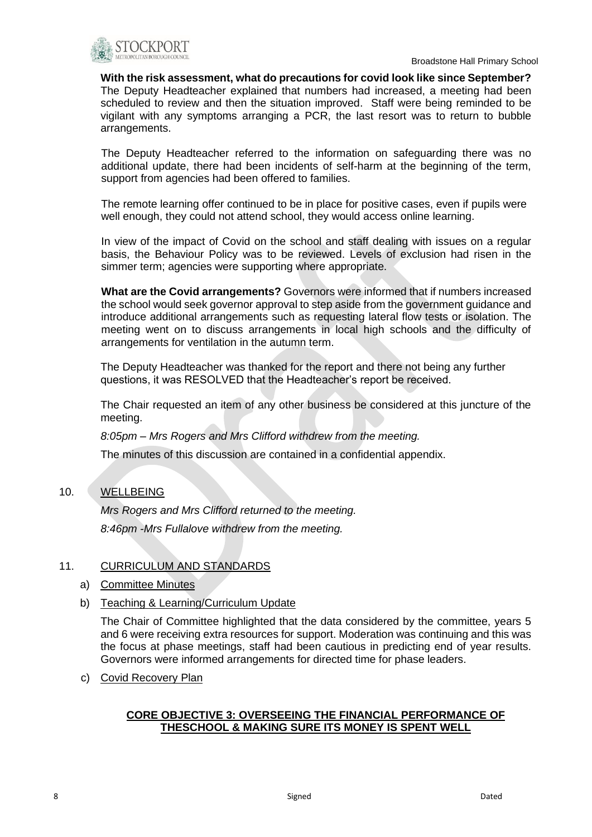

**With the risk assessment, what do precautions for covid look like since September?** The Deputy Headteacher explained that numbers had increased, a meeting had been scheduled to review and then the situation improved. Staff were being reminded to be vigilant with any symptoms arranging a PCR, the last resort was to return to bubble arrangements.

The Deputy Headteacher referred to the information on safeguarding there was no additional update, there had been incidents of self-harm at the beginning of the term, support from agencies had been offered to families.

The remote learning offer continued to be in place for positive cases, even if pupils were well enough, they could not attend school, they would access online learning.

In view of the impact of Covid on the school and staff dealing with issues on a regular basis, the Behaviour Policy was to be reviewed. Levels of exclusion had risen in the simmer term; agencies were supporting where appropriate.

**What are the Covid arrangements?** Governors were informed that if numbers increased the school would seek governor approval to step aside from the government guidance and introduce additional arrangements such as requesting lateral flow tests or isolation. The meeting went on to discuss arrangements in local high schools and the difficulty of arrangements for ventilation in the autumn term.

The Deputy Headteacher was thanked for the report and there not being any further questions, it was RESOLVED that the Headteacher's report be received.

The Chair requested an item of any other business be considered at this juncture of the meeting.

*8:05pm – Mrs Rogers and Mrs Clifford withdrew from the meeting.*

The minutes of this discussion are contained in a confidential appendix.

## 10. WELLBEING

*Mrs Rogers and Mrs Clifford returned to the meeting. 8:46pm -Mrs Fullalove withdrew from the meeting.* 

### 11. CURRICULUM AND STANDARDS

- a) Committee Minutes
- b) Teaching & Learning/Curriculum Update

The Chair of Committee highlighted that the data considered by the committee, years 5 and 6 were receiving extra resources for support. Moderation was continuing and this was the focus at phase meetings, staff had been cautious in predicting end of year results. Governors were informed arrangements for directed time for phase leaders.

c) Covid Recovery Plan

### **CORE OBJECTIVE 3: OVERSEEING THE FINANCIAL PERFORMANCE OF THESCHOOL & MAKING SURE ITS MONEY IS SPENT WELL**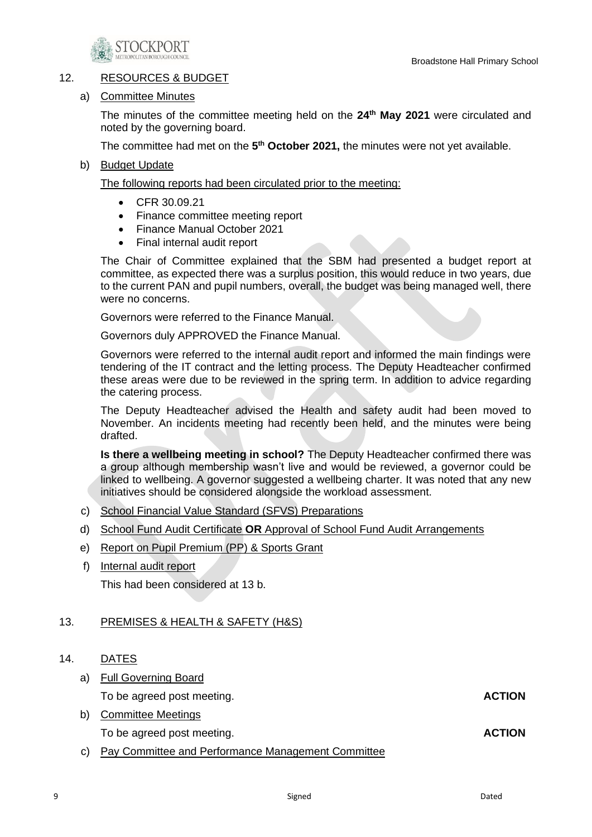

### 12. RESOURCES & BUDGET

#### a) Committee Minutes

The minutes of the committee meeting held on the **24th May 2021** were circulated and noted by the governing board.

The committee had met on the 5<sup>th</sup> October 2021, the minutes were not yet available.

#### b) Budget Update

The following reports had been circulated prior to the meeting:

- CFR 30.09.21
- Finance committee meeting report
- Finance Manual October 2021
- Final internal audit report

The Chair of Committee explained that the SBM had presented a budget report at committee, as expected there was a surplus position, this would reduce in two years, due to the current PAN and pupil numbers, overall, the budget was being managed well, there were no concerns.

Governors were referred to the Finance Manual.

Governors duly APPROVED the Finance Manual.

Governors were referred to the internal audit report and informed the main findings were tendering of the IT contract and the letting process. The Deputy Headteacher confirmed these areas were due to be reviewed in the spring term. In addition to advice regarding the catering process.

The Deputy Headteacher advised the Health and safety audit had been moved to November. An incidents meeting had recently been held, and the minutes were being drafted.

**Is there a wellbeing meeting in school?** The Deputy Headteacher confirmed there was a group although membership wasn't live and would be reviewed, a governor could be linked to wellbeing. A governor suggested a wellbeing charter. It was noted that any new initiatives should be considered alongside the workload assessment.

- c) School Financial Value Standard (SFVS) Preparations
- d) School Fund Audit Certificate **OR** Approval of School Fund Audit Arrangements
- e) Report on Pupil Premium (PP) & Sports Grant
- f) Internal audit report

This had been considered at 13 b.

### 13. PREMISES & HEALTH & SAFETY (H&S)

### 14. DATES

a) Full Governing Board

To be agreed post meeting. **ACTION** 

b) Committee Meetings

To be agreed post meeting. **ACTION ACTION** 

c) Pay Committee and Performance Management Committee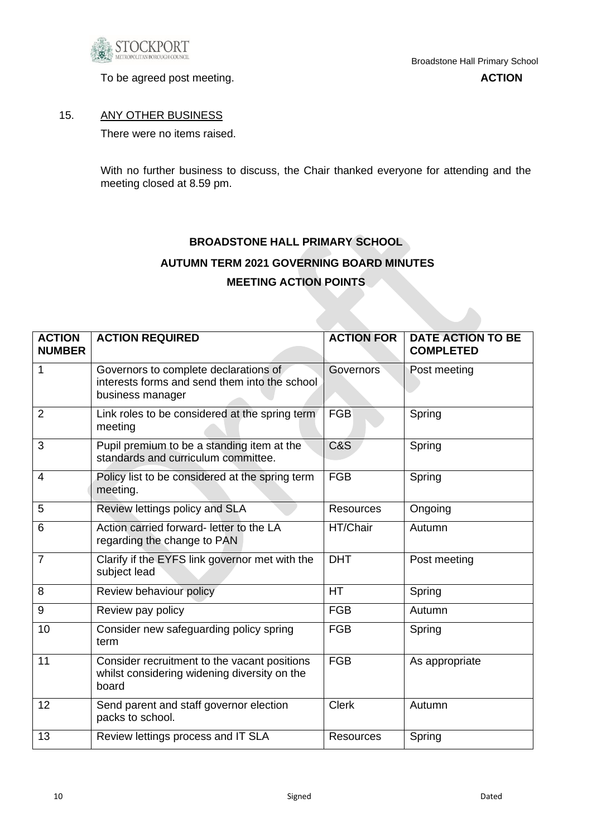

To be agreed post meeting. **ACTION ACTION** 

### 15. ANY OTHER BUSINESS

There were no items raised.

With no further business to discuss, the Chair thanked everyone for attending and the meeting closed at 8.59 pm.

# **BROADSTONE HALL PRIMARY SCHOOL AUTUMN TERM 2021 GOVERNING BOARD MINUTES MEETING ACTION POINTS**

| <b>ACTION</b><br><b>NUMBER</b> | <b>ACTION REQUIRED</b>                                                                                     | <b>ACTION FOR</b> | <b>DATE ACTION TO BE</b><br><b>COMPLETED</b> |
|--------------------------------|------------------------------------------------------------------------------------------------------------|-------------------|----------------------------------------------|
| 1                              | Governors to complete declarations of<br>interests forms and send them into the school<br>business manager | <b>Governors</b>  | Post meeting                                 |
| $\overline{2}$                 | Link roles to be considered at the spring term<br>meeting                                                  | <b>FGB</b>        | Spring                                       |
| 3                              | Pupil premium to be a standing item at the<br>standards and curriculum committee.                          | <b>C&amp;S</b>    | Spring                                       |
| 4                              | Policy list to be considered at the spring term<br>meeting.                                                | <b>FGB</b>        | Spring                                       |
| 5                              | Review lettings policy and SLA                                                                             | <b>Resources</b>  | Ongoing                                      |
| 6                              | Action carried forward- letter to the LA<br>regarding the change to PAN                                    | HT/Chair          | Autumn                                       |
| $\overline{7}$                 | Clarify if the EYFS link governor met with the<br>subject lead                                             | <b>DHT</b>        | Post meeting                                 |
| 8                              | Review behaviour policy                                                                                    | <b>HT</b>         | Spring                                       |
| 9                              | Review pay policy                                                                                          | <b>FGB</b>        | Autumn                                       |
| 10                             | Consider new safeguarding policy spring<br>term                                                            | <b>FGB</b>        | Spring                                       |
| 11                             | Consider recruitment to the vacant positions<br>whilst considering widening diversity on the<br>board      | <b>FGB</b>        | As appropriate                               |
| 12                             | Send parent and staff governor election<br>packs to school.                                                | <b>Clerk</b>      | Autumn                                       |
| 13                             | Review lettings process and IT SLA                                                                         | <b>Resources</b>  | Spring                                       |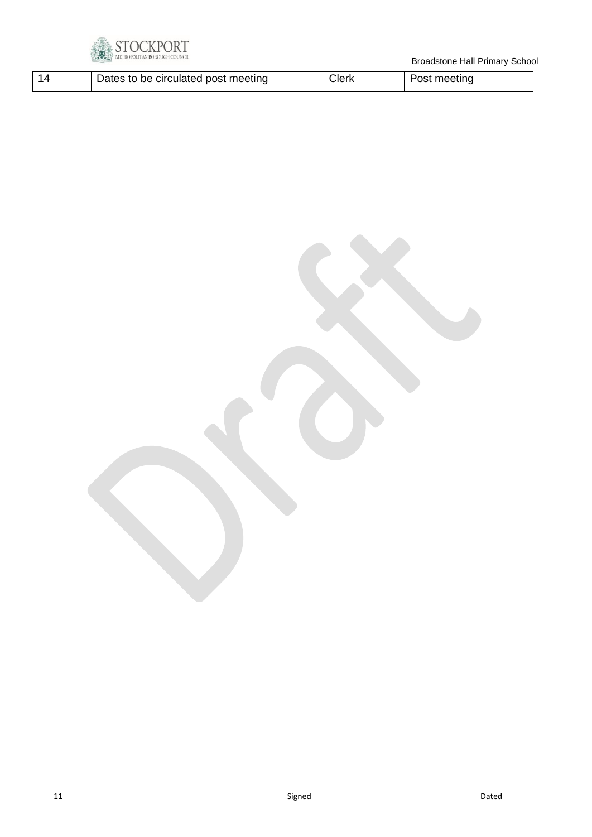

| Dates to be circulated post meeting | วlerk | Post meeting |
|-------------------------------------|-------|--------------|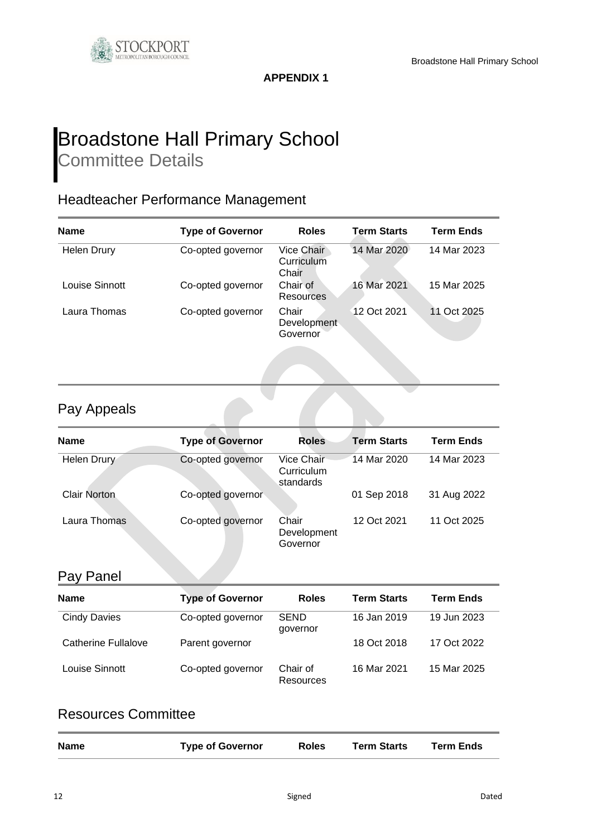

**APPENDIX 1**

# Broadstone Hall Primary School Committee Details

# Headteacher Performance Management

| <b>Name</b>        | <b>Type of Governor</b> | <b>Roles</b>                      | <b>Term Starts</b> | <b>Term Ends</b> |
|--------------------|-------------------------|-----------------------------------|--------------------|------------------|
| <b>Helen Drury</b> | Co-opted governor       | Vice Chair<br>Curriculum<br>Chair | 14 Mar 2020        | 14 Mar 2023      |
| Louise Sinnott     | Co-opted governor       | Chair of<br>Resources             | 16 Mar 2021        | 15 Mar 2025      |
| Laura Thomas       | Co-opted governor       | Chair<br>Development<br>Governor  | 12 Oct 2021        | 11 Oct 2025      |

# Pay Appeals

| <b>Name</b>         | <b>Type of Governor</b> | <b>Roles</b>                          | <b>Term Starts</b> | <b>Term Ends</b> |
|---------------------|-------------------------|---------------------------------------|--------------------|------------------|
| Helen Drury         | Co-opted governor       | Vice Chair<br>Curriculum<br>standards | 14 Mar 2020        | 14 Mar 2023      |
| <b>Clair Norton</b> | Co-opted governor       |                                       | 01 Sep 2018        | 31 Aug 2022      |
| Laura Thomas        | Co-opted governor       | Chair<br>Development<br>Governor      | 12 Oct 2021        | 11 Oct 2025      |

# Pay Panel

| <b>Name</b>         | <b>Type of Governor</b> | <b>Roles</b>            | <b>Term Starts</b> | <b>Term Ends</b> |
|---------------------|-------------------------|-------------------------|--------------------|------------------|
| <b>Cindy Davies</b> | Co-opted governor       | <b>SEND</b><br>governor | 16 Jan 2019        | 19 Jun 2023      |
| Catherine Fullalove | Parent governor         |                         | 18 Oct 2018        | 17 Oct 2022      |
| Louise Sinnott      | Co-opted governor       | Chair of<br>Resources   | 16 Mar 2021        | 15 Mar 2025      |

# Resources Committee

| <b>Name</b> | <b>Type of Governor</b> | <b>Roles</b> | <b>Term Starts</b> | <b>Term Ends</b> |
|-------------|-------------------------|--------------|--------------------|------------------|
|             |                         |              |                    |                  |